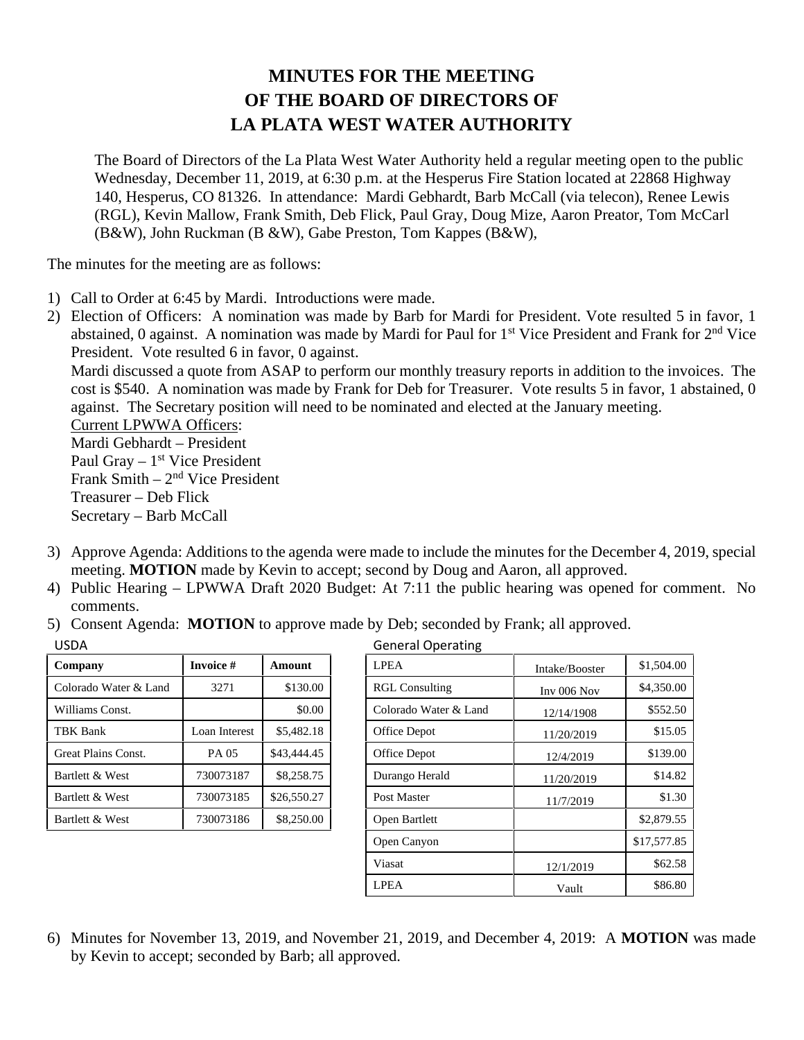## **MINUTES FOR THE MEETING OF THE BOARD OF DIRECTORS OF LA PLATA WEST WATER AUTHORITY**

The Board of Directors of the La Plata West Water Authority held a regular meeting open to the public Wednesday, December 11, 2019, at 6:30 p.m. at the Hesperus Fire Station located at 22868 Highway 140, Hesperus, CO 81326. In attendance: Mardi Gebhardt, Barb McCall (via telecon), Renee Lewis (RGL), Kevin Mallow, Frank Smith, Deb Flick, Paul Gray, Doug Mize, Aaron Preator, Tom McCarl (B&W), John Ruckman (B &W), Gabe Preston, Tom Kappes (B&W),

The minutes for the meeting are as follows:

- 1) Call to Order at 6:45 by Mardi. Introductions were made.
- 2) Election of Officers: A nomination was made by Barb for Mardi for President. Vote resulted 5 in favor, 1 abstained, 0 against. A nomination was made by Mardi for Paul for  $1<sup>st</sup>$  Vice President and Frank for  $2<sup>nd</sup>$  Vice President. Vote resulted 6 in favor, 0 against.

Mardi discussed a quote from ASAP to perform our monthly treasury reports in addition to the invoices. The cost is \$540. A nomination was made by Frank for Deb for Treasurer. Vote results 5 in favor, 1 abstained, 0 against. The Secretary position will need to be nominated and elected at the January meeting.

Current LPWWA Officers: Mardi Gebhardt – President Paul Gray – 1<sup>st</sup> Vice President Frank Smith – 2<sup>nd</sup> Vice President Treasurer – Deb Flick Secretary – Barb McCall

- 3) Approve Agenda: Additions to the agenda were made to include the minutes for the December 4, 2019, special meeting. **MOTION** made by Kevin to accept; second by Doug and Aaron, all approved.
- 4) Public Hearing LPWWA Draft 2020 Budget: At 7:11 the public hearing was opened for comment. No comments.
- 5) Consent Agenda: **MOTION** to approve made by Deb; seconded by Frank; all approved.

| Company               | <b>Invoice #</b> | Amount      |  |  |  |  |
|-----------------------|------------------|-------------|--|--|--|--|
| Colorado Water & Land | 3271             | \$130.00    |  |  |  |  |
| Williams Const.       |                  | \$0.00      |  |  |  |  |
| TBK Bank              | Loan Interest    | \$5,482.18  |  |  |  |  |
| Great Plains Const.   | PA 05            | \$43,444.45 |  |  |  |  |
| Bartlett & West       | 730073187        | \$8,258.75  |  |  |  |  |
| Bartlett & West       | 730073185        | \$26,550.27 |  |  |  |  |
| Bartlett & West       | 730073186        | \$8,250.00  |  |  |  |  |
|                       |                  |             |  |  |  |  |

| <b>USDA</b>           |                  |             | <b>General Operating</b> |                |             |
|-----------------------|------------------|-------------|--------------------------|----------------|-------------|
| Company               | <b>Invoice #</b> | Amount      | <b>LPEA</b>              | Intake/Booster | \$1,504.00  |
| Colorado Water & Land | 3271             | \$130.00    | <b>RGL Consulting</b>    | Inv 006 Nov    | \$4,350.00  |
| Williams Const.       |                  | \$0.00      | Colorado Water & Land    | 12/14/1908     | \$552.50    |
| TBK Bank              | Loan Interest    | \$5,482.18  | Office Depot             | 11/20/2019     | \$15.05     |
| Great Plains Const.   | PA 05            | \$43,444.45 | Office Depot             | 12/4/2019      | \$139.00    |
| Bartlett & West       | 730073187        | \$8,258.75  | Durango Herald           | 11/20/2019     | \$14.82     |
| Bartlett & West       | 730073185        | \$26,550.27 | Post Master              | 11/7/2019      | \$1.30      |
| Bartlett & West       | 730073186        | \$8,250.00  | Open Bartlett            |                | \$2,879.55  |
|                       |                  |             | Open Canyon              |                | \$17,577.85 |
|                       |                  |             | Viasat                   | 12/1/2019      | \$62.58     |
|                       |                  |             | <b>LPEA</b>              | Vault          | \$86.80     |

6) Minutes for November 13, 2019, and November 21, 2019, and December 4, 2019: A **MOTION** was made by Kevin to accept; seconded by Barb; all approved.